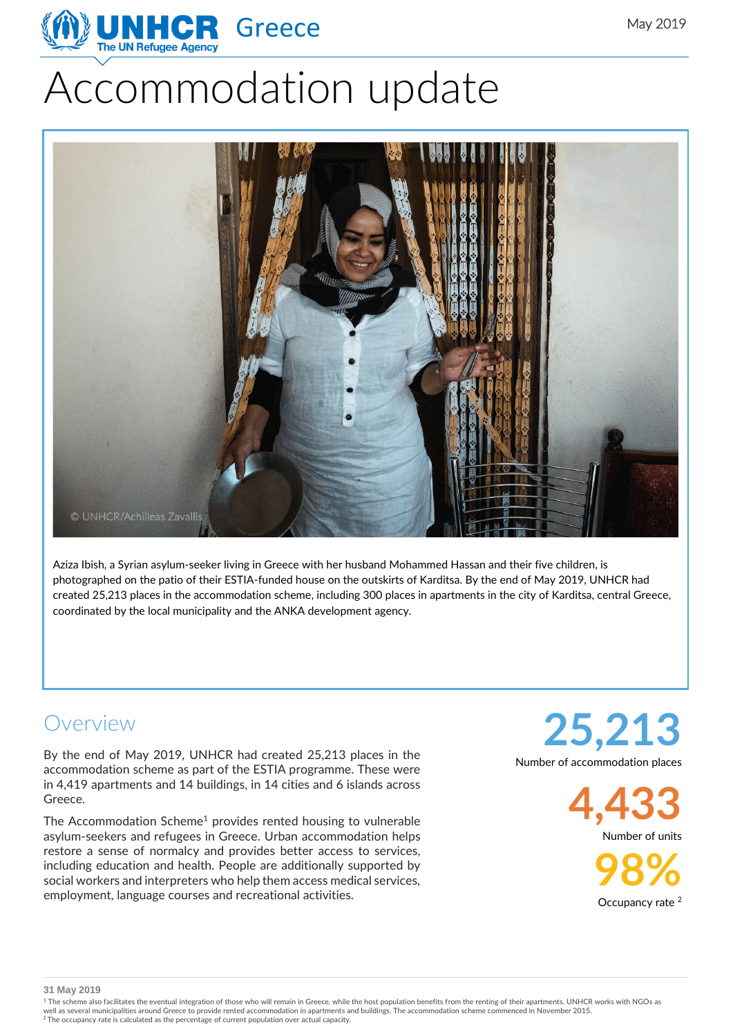

# Accommodation update



Aziza Ibish, a Syrian asylum-seeker living in Greece with her husband Mohammed Hassan and their five children, is photographed on the patio of their ESTIA-funded house on the outskirts of Karditsa. By the end of May 2019, UNHCR had created 25,213 places in the accommodation scheme, including 300 places in apartments in the city of Karditsa, central Greece, coordinated by the local municipality and the ANKA development agency.

#### Overview

By the end of May 2019, UNHCR had created 25,213 places in the accommodation scheme as part of the ESTIA programme. These were in 4,419 apartments and 14 buildings, in 14 cities and 6 islands across Greece.

The Accommodation Scheme<sup>1</sup> provides rented housing to vulnerable asylum-seekers and refugees in Greece. Urban accommodation helps restore a sense of normalcy and provides better access to services, including education and health. People are additionally supported by social workers and interpreters who help them access medical services, employment, language courses and recreational activities.

**25,213** Number of accommodation places

> **4,433** Number of units

> > **98%** Occupancy rate<sup>2</sup>

**31 May 2019**

<sup>1</sup> The scheme also facilitates the eventual integration of those who will remain in Greece, while the host population benefits from the renting of their apartments. UNHCR works with NGOs as well as several municipalities around Greece to provide rented accommodation in apartments and buildings. The accommodation scheme commenced in November 2015.<br><sup>2</sup> The occupancy rate is calculated as the percentage of curre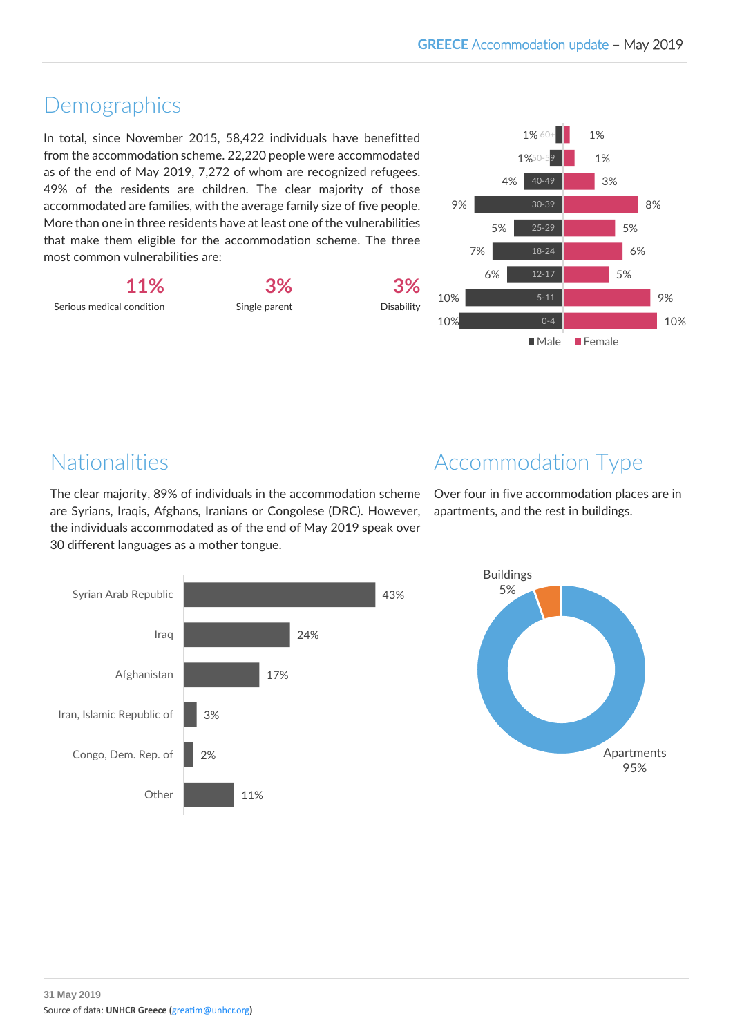## Demographics

In total, since November 2015, 58,422 individuals have benefitted from the accommodation scheme. 22,220 people were accommodated as of the end of May 2019, 7,272 of whom are recognized refugees. 49% of the residents are children. The clear majority of those accommodated are families, with the average family size of five people. More than one in three residents have at least one of the vulnerabilities that make them eligible for the accommodation scheme. The three most common vulnerabilities are:

**11%** Serious medical condition **3%**

Single parent

**3%** Disability



# Nationalities

The clear majority, 89% of individuals in the accommodation scheme are Syrians, Iraqis, Afghans, Iranians or Congolese (DRC). However, the individuals accommodated as of the end of May 2019 speak over 30 different languages as a mother tongue.



Over four in five accommodation places are in apartments, and the rest in buildings.



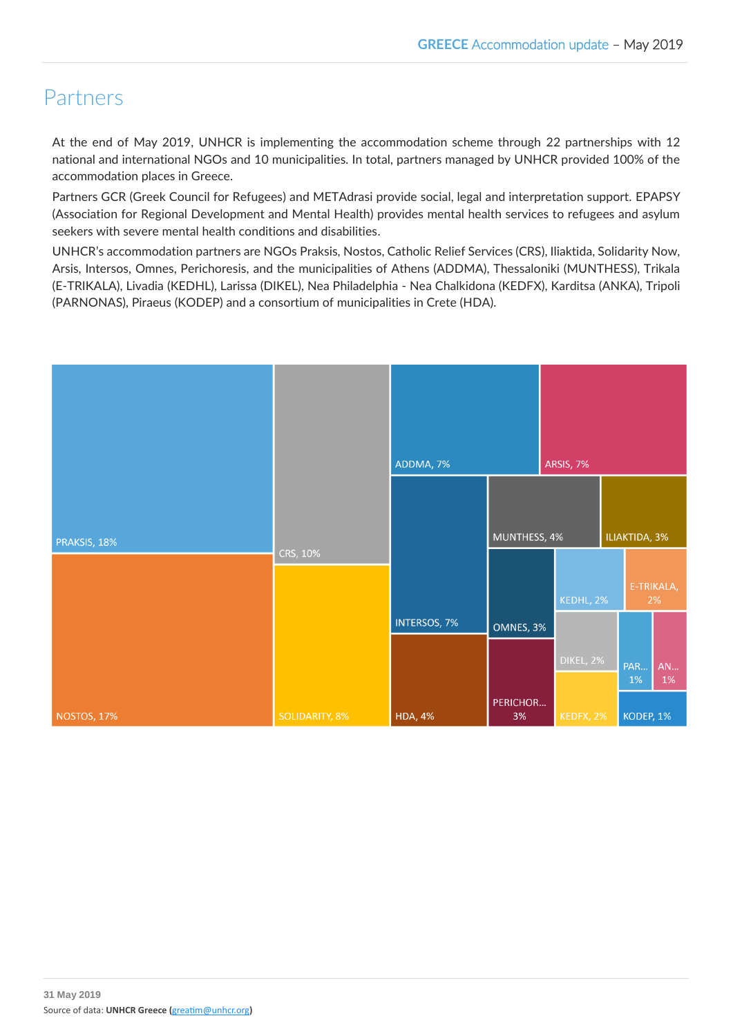## Partners

At the end of May 2019, UNHCR is implementing the accommodation scheme through 22 partnerships with 12 national and international NGOs and 10 municipalities. In total, partners managed by UNHCR provided 100% of the accommodation places in Greece.

Partners GCR (Greek Council for Refugees) and METAdrasi provide social, legal and interpretation support. EPAPSY (Association for Regional Development and Mental Health) provides mental health services to refugees and asylum seekers with severe mental health conditions and disabilities.

UNHCR's accommodation partners are NGOs Praksis, Nostos, Catholic Relief Services (CRS), Iliaktida, Solidarity Now, Arsis, Intersos, Omnes, Perichoresis, and the municipalities of Athens (ADDMA), Thessaloniki (MUNTHESS), Trikala (E-TRIKALA), Livadia (KEDHL), Larissa (DIKEL), Nea Philadelphia - Nea Chalkidona (KEDFX), Karditsa (ANKA), Tripoli (PARNONAS), Piraeus (KODEP) and a consortium of municipalities in Crete (HDA).